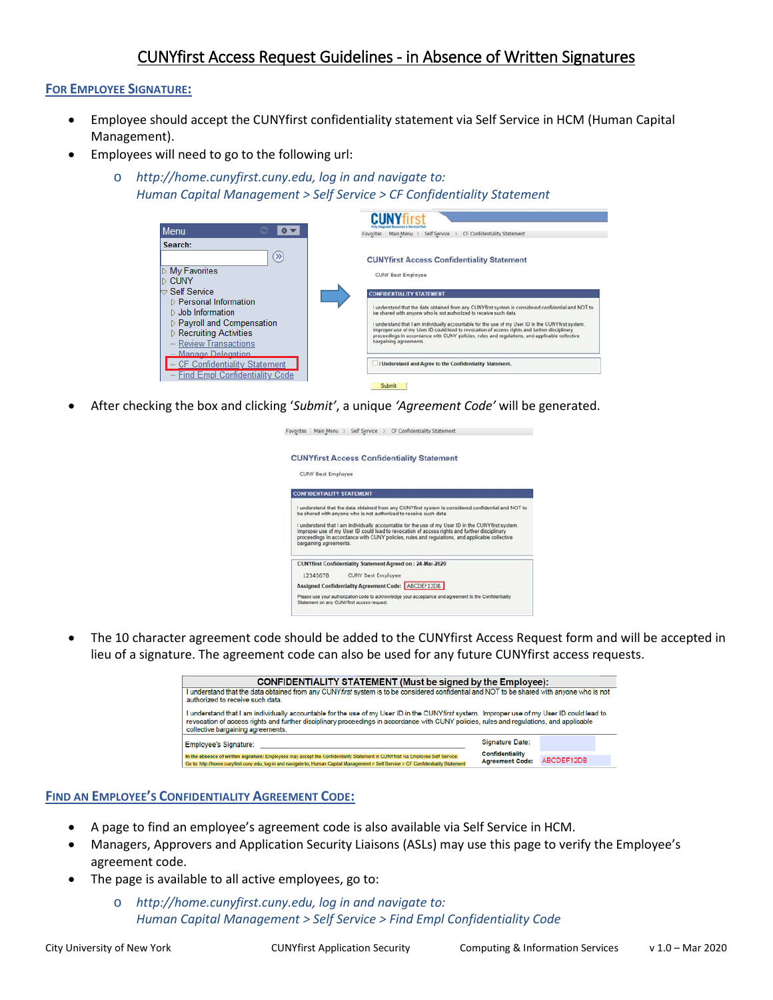# CUNYfirst Access Request Guidelines - in Absence of Written Signatures

## **FOR EMPLOYEE SIGNATURE:**

- Employee should accept the CUNYfirst confidentiality statement via Self Service in HCM (Human Capital Management).
- Employees will need to go to the following url:
	- o *http://home.cunyfirst.cuny.edu, log in and navigate to: Human Capital Management > Self Service > CF Confidentiality Statement*

| <b>Menu</b>                                                                                                                                                                                                                                                                                                                                            | CF Confidentiality Statement<br>Main Menu<br>Self Service<br>Favorites                                                                                                                                                                                                                                                                                                                                                                                                                                                                                                                                                                                                                |
|--------------------------------------------------------------------------------------------------------------------------------------------------------------------------------------------------------------------------------------------------------------------------------------------------------------------------------------------------------|---------------------------------------------------------------------------------------------------------------------------------------------------------------------------------------------------------------------------------------------------------------------------------------------------------------------------------------------------------------------------------------------------------------------------------------------------------------------------------------------------------------------------------------------------------------------------------------------------------------------------------------------------------------------------------------|
| Search:<br>$\gg$<br>D My Favorites<br>$\triangleright$ Cuny<br>$\small{\supset}$ Self Service<br>D Personal Information<br>$\triangleright$ Job Information<br>▷ Payroll and Compensation<br><b>D</b> Recruiting Activities<br>- Review Transactions<br>- Manage Delegation<br>- CF Confidentiality Statement<br><b>Find Empl Confidentiality Code</b> | <b>CUNYfirst Access Confidentiality Statement</b><br>CUNY Best Employee<br><b>CONFIDENTIALITY STATEMENT</b><br>I understand that the data obtained from any CUNYfirst system is considered confidential and NOT to<br>be shared with anyone who is not authorized to receive such data<br>I understand that I am individually accountable for the use of my User ID in the CUNYfirst system.<br>Improper use of my User ID could lead to revocation of access rights and further disciplinary<br>proceedings in accordance with CUNY policies, rules and regulations, and applicable collective<br>bargaining agreements.<br>I Understand and Agree to the Confidentiality Statement. |
|                                                                                                                                                                                                                                                                                                                                                        | Submit                                                                                                                                                                                                                                                                                                                                                                                                                                                                                                                                                                                                                                                                                |

• After checking the box and clicking '*Submit'*, a unique *'Agreement Code'* will be generated.

| avorites | Main Menu > Self Service > CF Confidentiality Statement                                                                                                                                                                                                                                                                         |
|----------|---------------------------------------------------------------------------------------------------------------------------------------------------------------------------------------------------------------------------------------------------------------------------------------------------------------------------------|
|          | <b>CUNYfirst Access Confidentiality Statement</b>                                                                                                                                                                                                                                                                               |
|          | <b>CUNY Best Employee</b>                                                                                                                                                                                                                                                                                                       |
|          | <b>CONFIDENTIALITY STATEMENT</b>                                                                                                                                                                                                                                                                                                |
|          | I understand that the data obtained from any CUNYfirst system is considered confidential and NOT to<br>be shared with anyone who is not authorized to receive such data.                                                                                                                                                        |
|          | I understand that I am individually accountable for the use of my User ID in the CUNYfirst system.<br>Improper use of my User ID could lead to revocation of access rights and further disciplinary<br>proceedings in accordance with CUNY policies, rules and regulations, and applicable collective<br>bargaining agreements. |
|          | <b>CUNYfirst Confidentiality Statement Agreed on: 24 Mar-2020</b>                                                                                                                                                                                                                                                               |
|          | 12345678<br><b>CUNY Best Employee</b>                                                                                                                                                                                                                                                                                           |
|          | Assigned Confidentiality Agreement Code: ABCDEF12DB                                                                                                                                                                                                                                                                             |
|          | Please use your authorization code to acknowledge your acceptance and agreement to the Confidentiality<br>Statement on any CUNYfirst access request.                                                                                                                                                                            |

• The 10 character agreement code should be added to the CUNYfirst Access Request form and will be accepted in lieu of a signature. The agreement code can also be used for any future CUNYfirst access requests.

| <b>CONFIDENTIALITY STATEMENT (Must be signed by the Employee):</b>                                                                                                                                                                                                                                                           |                        |            |  |  |  |  |
|------------------------------------------------------------------------------------------------------------------------------------------------------------------------------------------------------------------------------------------------------------------------------------------------------------------------------|------------------------|------------|--|--|--|--|
| I understand that the data obtained from any CUNY first system is to be considered confidential and NOT to be shared with anyone who is not<br>authorized to receive such data.                                                                                                                                              |                        |            |  |  |  |  |
| I understand that I am individually accountable for the use of my User ID in the CUNYfirst system. Improper use of my User ID could lead to<br>revocation of access rights and further disciplinary proceedings in accordance with CUNY policies, rules and regulations, and applicable<br>collective bargaining agreements. |                        |            |  |  |  |  |
| <b>Employee's Signature:</b>                                                                                                                                                                                                                                                                                                 | Signature Date:        |            |  |  |  |  |
| In the absence of written signature: Employees may accept the Confidentiality Statement in CUNYfirst via Employee Self Service.                                                                                                                                                                                              | Confidentiality        |            |  |  |  |  |
|                                                                                                                                                                                                                                                                                                                              | <b>Agreement Code:</b> | ABCDEF12DB |  |  |  |  |

## **FIND AN EMPLOYEE'S CONFIDENTIALITY AGREEMENT CODE:**

- A page to find an employee's agreement code is also available via Self Service in HCM.
- Managers, Approvers and Application Security Liaisons (ASLs) may use this page to verify the Employee's agreement code.
- The page is available to all active employees, go to:
	- o *http://home.cunyfirst.cuny.edu, log in and navigate to: Human Capital Management > Self Service > [Find Empl Confidentiality Code](https://hrsa.cunyfirst.cuny.edu/psp/cnyhcprd/EMPLOYEE/HRMS/q/,+?ICAction=ICQryNameURL=PUBLIC.CU_SEC_CONFIDENTIALITY_CODE&PORTALPARAM_PTCNAV=CU_SEC_CONFIDENTIALITY_CODE_S&EOPP.SCNode=HRMS&EOPP.SCPortal=EMPLOYEE&EOPP.SCName=CO_EMPLOYEE_SELF_SERVICE&EOPP.SCLabel=Self%20Service&EOPP.SCPTfname=CO_EMPLOYEE_SELF_SERVICE&FolderPath=PORTAL_ROOT_OBJECT.CO_EMPLOYEE_SELF_SERVICE.CU_SEC_CONFIDENTIALITY_CODE_S&IsFolder=false)*